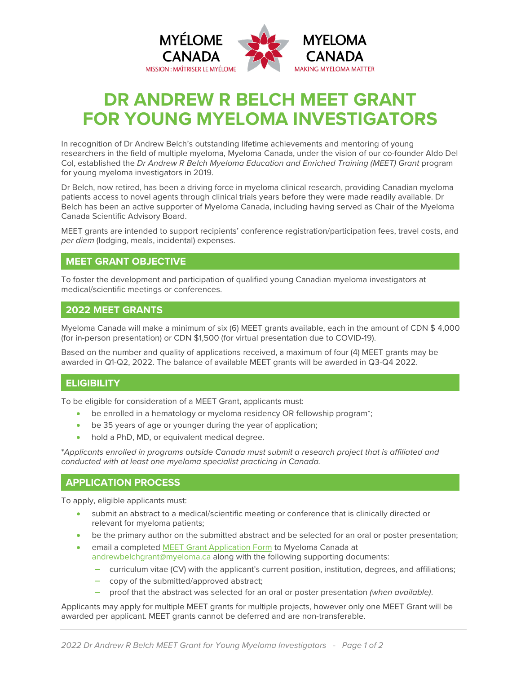

# **DR ANDREW R BELCH MEET GRANT FOR YOUNG MYELOMA INVESTIGATORS**

In recognition of Dr Andrew Belch's outstanding lifetime achievements and mentoring of young researchers in the field of multiple myeloma, Myeloma Canada, under the vision of our co-founder Aldo Del Col, established the *Dr Andrew R Belch Myeloma Education and Enriched Training (MEET) Grant* program for young myeloma investigators in 2019.

Dr Belch, now retired, has been a driving force in myeloma clinical research, providing Canadian myeloma patients access to novel agents through clinical trials years before they were made readily available. Dr Belch has been an active supporter of Myeloma Canada, including having served as Chair of the Myeloma Canada Scientific Advisory Board.

MEET grants are intended to support recipients' conference registration/participation fees, travel costs, and *per diem* (lodging, meals, incidental) expenses.

# **MEET GRANT OBJECTIVE**

To foster the development and participation of qualified young Canadian myeloma investigators at medical/scientific meetings or conferences.

#### **2022 MEET GRANTS**

Myeloma Canada will make a minimum of six (6) MEET grants available, each in the amount of CDN \$ 4,000 (for in-person presentation) or CDN \$1,500 (for virtual presentation due to COVID-19).

Based on the number and quality of applications received, a maximum of four (4) MEET grants may be awarded in Q1-Q2, 2022. The balance of available MEET grants will be awarded in Q3-Q4 2022.

# **ELIGIBILITY**

To be eligible for consideration of a MEET Grant, applicants must:

- be enrolled in a hematology or myeloma residency OR fellowship program\*;
- be 35 years of age or younger during the year of application;
- hold a PhD, MD, or equivalent medical degree.

\**Applicants enrolled in programs outside Canada must submit a research project that is affiliated and conducted with at least one myeloma specialist practicing in Canada.*

#### **APPLICATION PROCESS**

To apply, eligible applicants must:

- submit an abstract to a medical/scientific meeting or conference that is clinically directed or relevant for myeloma patients;
- be the primary author on the submitted abstract and be selected for an oral or poster presentation;
- email a completed [MEET Grant Application Form](https://myeloma-my.sharepoint.com/personal/gcolasurdo_myeloma_ca/Documents/05%20-%20Research/02%20-%20Grants/01%20-%20MEET%20Grant/2022%20New/2022%20MEET%20Grant%20Application%20Form_EN_final_24012022.docx) to Myeloma Canada at [andrewbelchgrant@myeloma.ca](mailto:andrewbelchgrant@myeloma.ca) along with the following supporting documents:
	- ̶ curriculum vitae (CV) with the applicant's current position, institution, degrees, and affiliations;
	- ̶ copy of the submitted/approved abstract;
	- ̶ proof that the abstract was selected for an oral or poster presentation *(when available)*.

Applicants may apply for multiple MEET grants for multiple projects, however only one MEET Grant will be awarded per applicant. MEET grants cannot be deferred and are non-transferable.